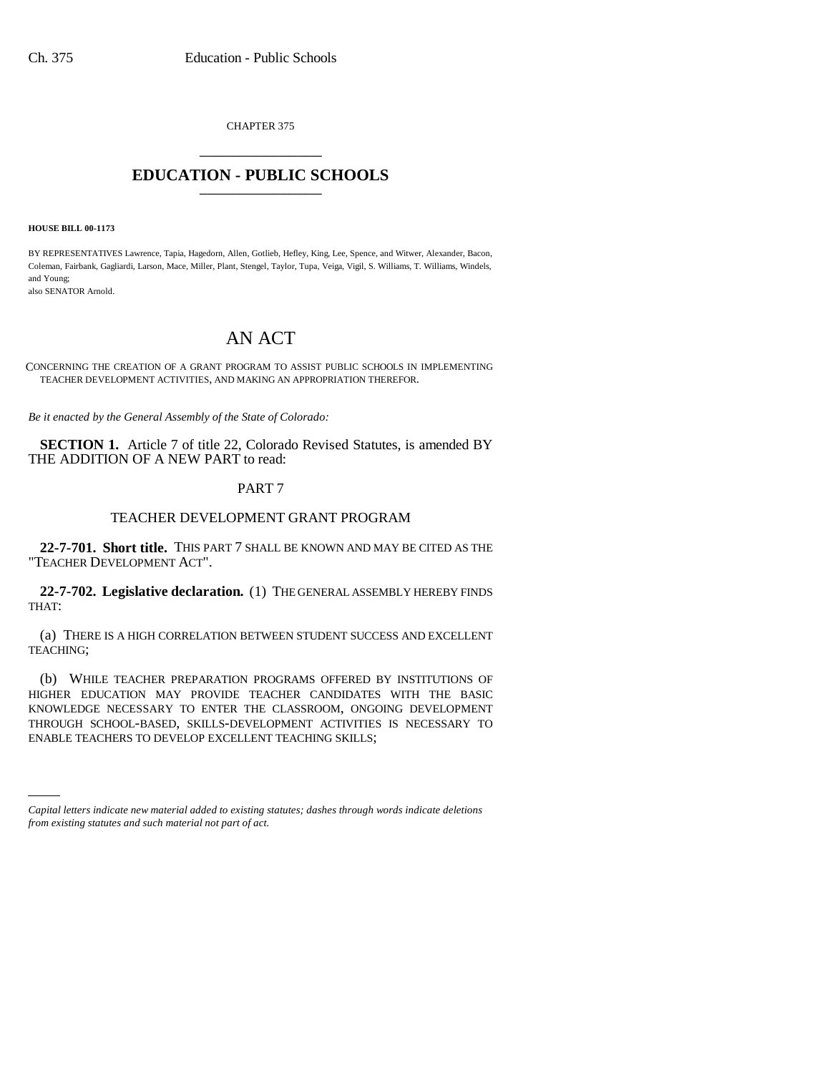CHAPTER 375 \_\_\_\_\_\_\_\_\_\_\_\_\_\_\_

## **EDUCATION - PUBLIC SCHOOLS** \_\_\_\_\_\_\_\_\_\_\_\_\_\_\_

**HOUSE BILL 00-1173** 

BY REPRESENTATIVES Lawrence, Tapia, Hagedorn, Allen, Gotlieb, Hefley, King, Lee, Spence, and Witwer, Alexander, Bacon, Coleman, Fairbank, Gagliardi, Larson, Mace, Miller, Plant, Stengel, Taylor, Tupa, Veiga, Vigil, S. Williams, T. Williams, Windels, and Young; also SENATOR Arnold.

AN ACT

CONCERNING THE CREATION OF A GRANT PROGRAM TO ASSIST PUBLIC SCHOOLS IN IMPLEMENTING TEACHER DEVELOPMENT ACTIVITIES, AND MAKING AN APPROPRIATION THEREFOR.

*Be it enacted by the General Assembly of the State of Colorado:*

**SECTION 1.** Article 7 of title 22, Colorado Revised Statutes, is amended BY THE ADDITION OF A NEW PART to read:

## PART 7

## TEACHER DEVELOPMENT GRANT PROGRAM

**22-7-701. Short title.** THIS PART 7 SHALL BE KNOWN AND MAY BE CITED AS THE "TEACHER DEVELOPMENT ACT".

**22-7-702. Legislative declaration.** (1) THE GENERAL ASSEMBLY HEREBY FINDS THAT:

(a) THERE IS A HIGH CORRELATION BETWEEN STUDENT SUCCESS AND EXCELLENT TEACHING;

ENABLE TEACHERS TO DEVELOP EXCELLENT TEACHING SKILLS;(b) WHILE TEACHER PREPARATION PROGRAMS OFFERED BY INSTITUTIONS OF HIGHER EDUCATION MAY PROVIDE TEACHER CANDIDATES WITH THE BASIC KNOWLEDGE NECESSARY TO ENTER THE CLASSROOM, ONGOING DEVELOPMENT THROUGH SCHOOL-BASED, SKILLS-DEVELOPMENT ACTIVITIES IS NECESSARY TO

*Capital letters indicate new material added to existing statutes; dashes through words indicate deletions from existing statutes and such material not part of act.*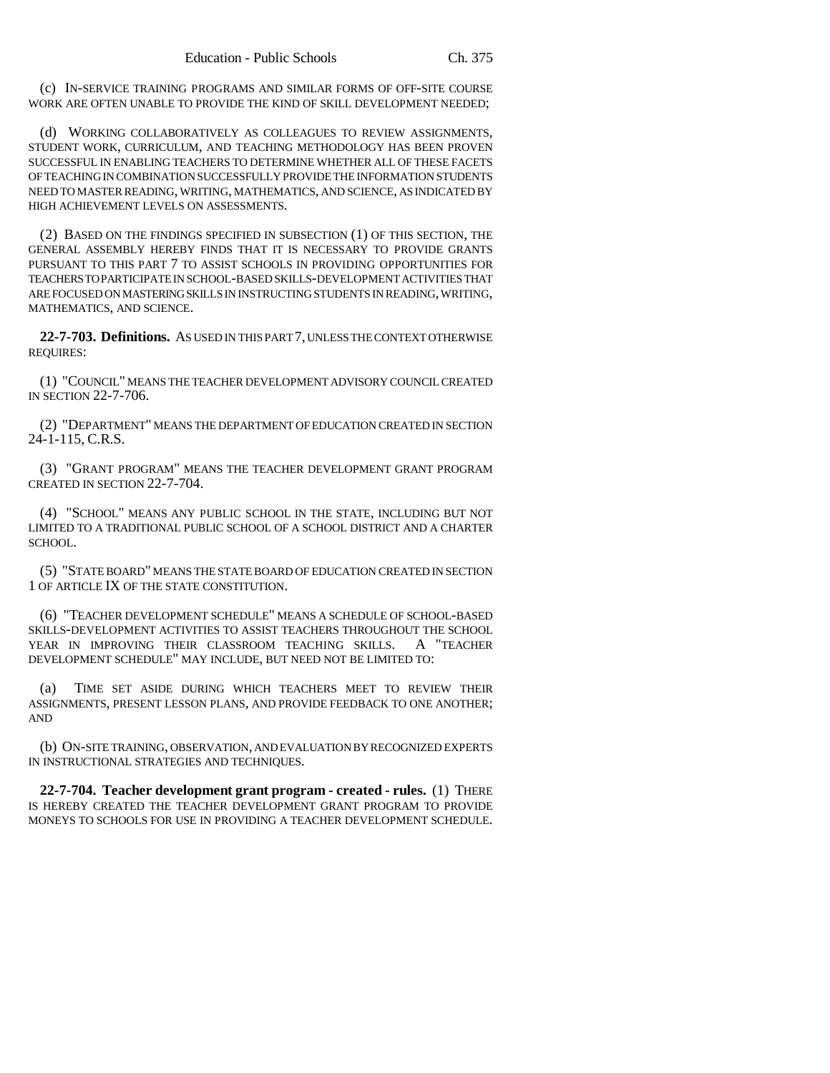(c) IN-SERVICE TRAINING PROGRAMS AND SIMILAR FORMS OF OFF-SITE COURSE WORK ARE OFTEN UNABLE TO PROVIDE THE KIND OF SKILL DEVELOPMENT NEEDED;

(d) WORKING COLLABORATIVELY AS COLLEAGUES TO REVIEW ASSIGNMENTS, STUDENT WORK, CURRICULUM, AND TEACHING METHODOLOGY HAS BEEN PROVEN SUCCESSFUL IN ENABLING TEACHERS TO DETERMINE WHETHER ALL OF THESE FACETS OF TEACHING IN COMBINATION SUCCESSFULLY PROVIDE THE INFORMATION STUDENTS NEED TO MASTER READING, WRITING, MATHEMATICS, AND SCIENCE, AS INDICATED BY HIGH ACHIEVEMENT LEVELS ON ASSESSMENTS.

(2) BASED ON THE FINDINGS SPECIFIED IN SUBSECTION (1) OF THIS SECTION, THE GENERAL ASSEMBLY HEREBY FINDS THAT IT IS NECESSARY TO PROVIDE GRANTS PURSUANT TO THIS PART 7 TO ASSIST SCHOOLS IN PROVIDING OPPORTUNITIES FOR TEACHERS TO PARTICIPATE IN SCHOOL-BASED SKILLS-DEVELOPMENT ACTIVITIES THAT ARE FOCUSED ON MASTERING SKILLS IN INSTRUCTING STUDENTS IN READING, WRITING, MATHEMATICS, AND SCIENCE.

**22-7-703. Definitions.** AS USED IN THIS PART 7, UNLESS THE CONTEXT OTHERWISE REQUIRES:

(1) "COUNCIL" MEANS THE TEACHER DEVELOPMENT ADVISORY COUNCIL CREATED IN SECTION 22-7-706.

(2) "DEPARTMENT" MEANS THE DEPARTMENT OF EDUCATION CREATED IN SECTION 24-1-115, C.R.S.

(3) "GRANT PROGRAM" MEANS THE TEACHER DEVELOPMENT GRANT PROGRAM CREATED IN SECTION 22-7-704.

(4) "SCHOOL" MEANS ANY PUBLIC SCHOOL IN THE STATE, INCLUDING BUT NOT LIMITED TO A TRADITIONAL PUBLIC SCHOOL OF A SCHOOL DISTRICT AND A CHARTER SCHOOL.

(5) "STATE BOARD" MEANS THE STATE BOARD OF EDUCATION CREATED IN SECTION 1 OF ARTICLE IX OF THE STATE CONSTITUTION.

(6) "TEACHER DEVELOPMENT SCHEDULE" MEANS A SCHEDULE OF SCHOOL-BASED SKILLS-DEVELOPMENT ACTIVITIES TO ASSIST TEACHERS THROUGHOUT THE SCHOOL YEAR IN IMPROVING THEIR CLASSROOM TEACHING SKILLS. A "TEACHER DEVELOPMENT SCHEDULE" MAY INCLUDE, BUT NEED NOT BE LIMITED TO:

(a) TIME SET ASIDE DURING WHICH TEACHERS MEET TO REVIEW THEIR ASSIGNMENTS, PRESENT LESSON PLANS, AND PROVIDE FEEDBACK TO ONE ANOTHER; AND

(b) ON-SITE TRAINING, OBSERVATION, AND EVALUATION BY RECOGNIZED EXPERTS IN INSTRUCTIONAL STRATEGIES AND TECHNIQUES.

**22-7-704. Teacher development grant program - created - rules.** (1) THERE IS HEREBY CREATED THE TEACHER DEVELOPMENT GRANT PROGRAM TO PROVIDE MONEYS TO SCHOOLS FOR USE IN PROVIDING A TEACHER DEVELOPMENT SCHEDULE.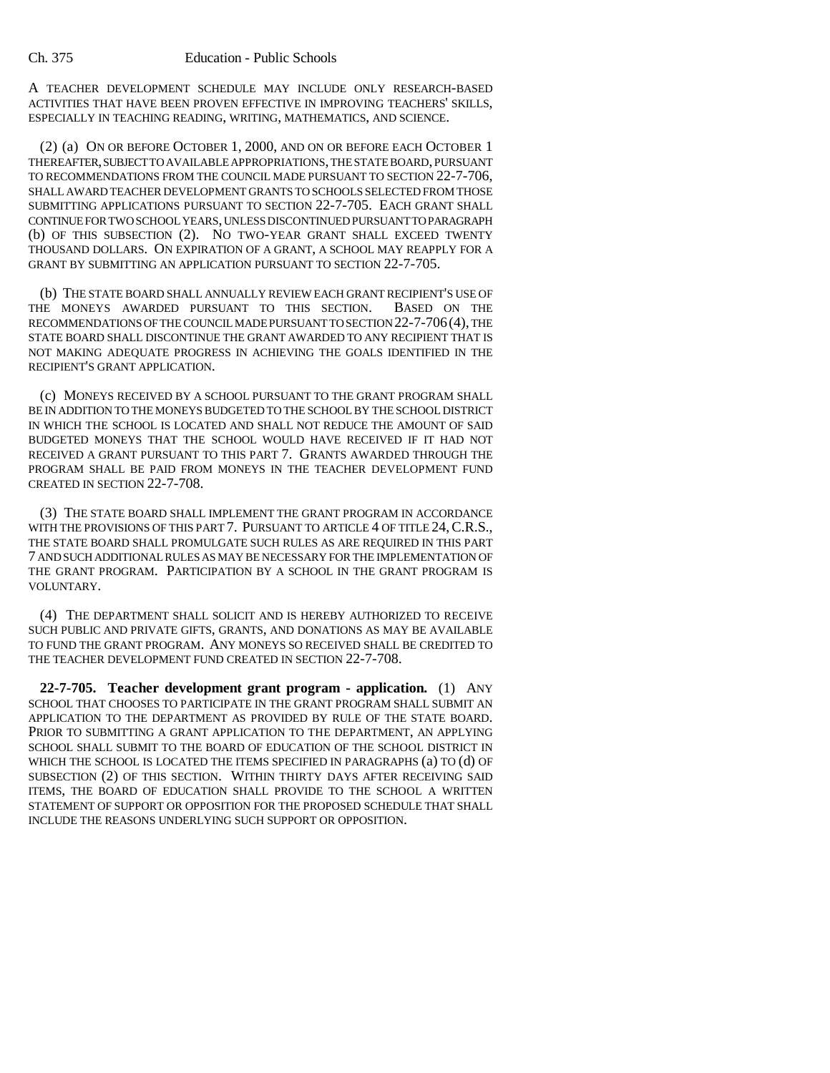A TEACHER DEVELOPMENT SCHEDULE MAY INCLUDE ONLY RESEARCH-BASED ACTIVITIES THAT HAVE BEEN PROVEN EFFECTIVE IN IMPROVING TEACHERS' SKILLS, ESPECIALLY IN TEACHING READING, WRITING, MATHEMATICS, AND SCIENCE.

(2) (a) ON OR BEFORE OCTOBER 1, 2000, AND ON OR BEFORE EACH OCTOBER 1 THEREAFTER, SUBJECT TO AVAILABLE APPROPRIATIONS, THE STATE BOARD, PURSUANT TO RECOMMENDATIONS FROM THE COUNCIL MADE PURSUANT TO SECTION 22-7-706, SHALL AWARD TEACHER DEVELOPMENT GRANTS TO SCHOOLS SELECTED FROM THOSE SUBMITTING APPLICATIONS PURSUANT TO SECTION 22-7-705. EACH GRANT SHALL CONTINUE FOR TWO SCHOOL YEARS, UNLESS DISCONTINUED PURSUANT TO PARAGRAPH (b) OF THIS SUBSECTION (2). NO TWO-YEAR GRANT SHALL EXCEED TWENTY THOUSAND DOLLARS. ON EXPIRATION OF A GRANT, A SCHOOL MAY REAPPLY FOR A GRANT BY SUBMITTING AN APPLICATION PURSUANT TO SECTION 22-7-705.

(b) THE STATE BOARD SHALL ANNUALLY REVIEW EACH GRANT RECIPIENT'S USE OF THE MONEYS AWARDED PURSUANT TO THIS SECTION. BASED ON THE RECOMMENDATIONS OF THE COUNCIL MADE PURSUANT TO SECTION 22-7-706(4), THE STATE BOARD SHALL DISCONTINUE THE GRANT AWARDED TO ANY RECIPIENT THAT IS NOT MAKING ADEQUATE PROGRESS IN ACHIEVING THE GOALS IDENTIFIED IN THE RECIPIENT'S GRANT APPLICATION.

(c) MONEYS RECEIVED BY A SCHOOL PURSUANT TO THE GRANT PROGRAM SHALL BE IN ADDITION TO THE MONEYS BUDGETED TO THE SCHOOL BY THE SCHOOL DISTRICT IN WHICH THE SCHOOL IS LOCATED AND SHALL NOT REDUCE THE AMOUNT OF SAID BUDGETED MONEYS THAT THE SCHOOL WOULD HAVE RECEIVED IF IT HAD NOT RECEIVED A GRANT PURSUANT TO THIS PART 7. GRANTS AWARDED THROUGH THE PROGRAM SHALL BE PAID FROM MONEYS IN THE TEACHER DEVELOPMENT FUND CREATED IN SECTION 22-7-708.

(3) THE STATE BOARD SHALL IMPLEMENT THE GRANT PROGRAM IN ACCORDANCE WITH THE PROVISIONS OF THIS PART 7. PURSUANT TO ARTICLE 4 OF TITLE 24, C.R.S., THE STATE BOARD SHALL PROMULGATE SUCH RULES AS ARE REQUIRED IN THIS PART 7 AND SUCH ADDITIONAL RULES AS MAY BE NECESSARY FOR THE IMPLEMENTATION OF THE GRANT PROGRAM. PARTICIPATION BY A SCHOOL IN THE GRANT PROGRAM IS VOLUNTARY.

(4) THE DEPARTMENT SHALL SOLICIT AND IS HEREBY AUTHORIZED TO RECEIVE SUCH PUBLIC AND PRIVATE GIFTS, GRANTS, AND DONATIONS AS MAY BE AVAILABLE TO FUND THE GRANT PROGRAM. ANY MONEYS SO RECEIVED SHALL BE CREDITED TO THE TEACHER DEVELOPMENT FUND CREATED IN SECTION 22-7-708.

**22-7-705. Teacher development grant program - application.** (1) ANY SCHOOL THAT CHOOSES TO PARTICIPATE IN THE GRANT PROGRAM SHALL SUBMIT AN APPLICATION TO THE DEPARTMENT AS PROVIDED BY RULE OF THE STATE BOARD. PRIOR TO SUBMITTING A GRANT APPLICATION TO THE DEPARTMENT, AN APPLYING SCHOOL SHALL SUBMIT TO THE BOARD OF EDUCATION OF THE SCHOOL DISTRICT IN WHICH THE SCHOOL IS LOCATED THE ITEMS SPECIFIED IN PARAGRAPHS (a) TO (d) OF SUBSECTION (2) OF THIS SECTION. WITHIN THIRTY DAYS AFTER RECEIVING SAID ITEMS, THE BOARD OF EDUCATION SHALL PROVIDE TO THE SCHOOL A WRITTEN STATEMENT OF SUPPORT OR OPPOSITION FOR THE PROPOSED SCHEDULE THAT SHALL INCLUDE THE REASONS UNDERLYING SUCH SUPPORT OR OPPOSITION.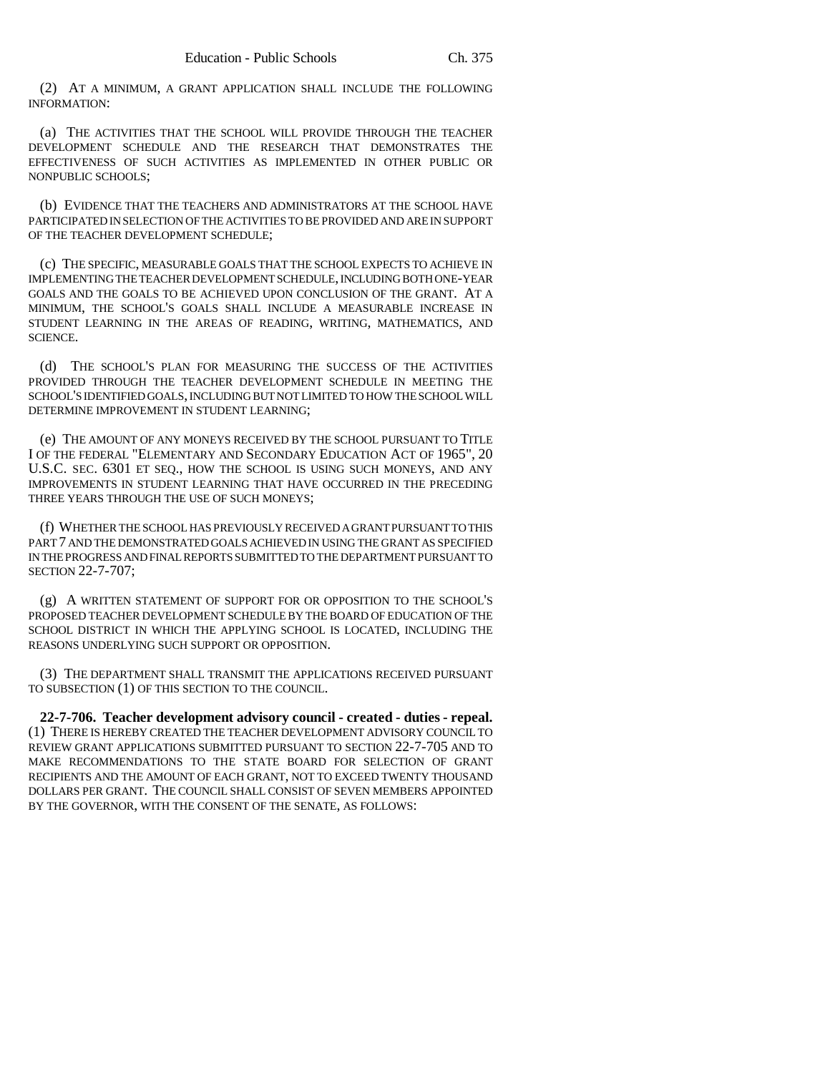(2) AT A MINIMUM, A GRANT APPLICATION SHALL INCLUDE THE FOLLOWING INFORMATION:

(a) THE ACTIVITIES THAT THE SCHOOL WILL PROVIDE THROUGH THE TEACHER DEVELOPMENT SCHEDULE AND THE RESEARCH THAT DEMONSTRATES THE EFFECTIVENESS OF SUCH ACTIVITIES AS IMPLEMENTED IN OTHER PUBLIC OR NONPUBLIC SCHOOLS;

(b) EVIDENCE THAT THE TEACHERS AND ADMINISTRATORS AT THE SCHOOL HAVE PARTICIPATED IN SELECTION OF THE ACTIVITIES TO BE PROVIDED AND ARE IN SUPPORT OF THE TEACHER DEVELOPMENT SCHEDULE;

(c) THE SPECIFIC, MEASURABLE GOALS THAT THE SCHOOL EXPECTS TO ACHIEVE IN IMPLEMENTING THE TEACHER DEVELOPMENT SCHEDULE, INCLUDING BOTH ONE-YEAR GOALS AND THE GOALS TO BE ACHIEVED UPON CONCLUSION OF THE GRANT. AT A MINIMUM, THE SCHOOL'S GOALS SHALL INCLUDE A MEASURABLE INCREASE IN STUDENT LEARNING IN THE AREAS OF READING, WRITING, MATHEMATICS, AND SCIENCE.

(d) THE SCHOOL'S PLAN FOR MEASURING THE SUCCESS OF THE ACTIVITIES PROVIDED THROUGH THE TEACHER DEVELOPMENT SCHEDULE IN MEETING THE SCHOOL'S IDENTIFIED GOALS, INCLUDING BUT NOT LIMITED TO HOW THE SCHOOL WILL DETERMINE IMPROVEMENT IN STUDENT LEARNING;

(e) THE AMOUNT OF ANY MONEYS RECEIVED BY THE SCHOOL PURSUANT TO TITLE I OF THE FEDERAL "ELEMENTARY AND SECONDARY EDUCATION ACT OF 1965", 20 U.S.C. SEC. 6301 ET SEQ., HOW THE SCHOOL IS USING SUCH MONEYS, AND ANY IMPROVEMENTS IN STUDENT LEARNING THAT HAVE OCCURRED IN THE PRECEDING THREE YEARS THROUGH THE USE OF SUCH MONEYS;

(f) WHETHER THE SCHOOL HAS PREVIOUSLY RECEIVED A GRANT PURSUANT TO THIS PART 7 AND THE DEMONSTRATED GOALS ACHIEVED IN USING THE GRANT AS SPECIFIED IN THE PROGRESS AND FINAL REPORTS SUBMITTED TO THE DEPARTMENT PURSUANT TO SECTION 22-7-707;

(g) A WRITTEN STATEMENT OF SUPPORT FOR OR OPPOSITION TO THE SCHOOL'S PROPOSED TEACHER DEVELOPMENT SCHEDULE BY THE BOARD OF EDUCATION OF THE SCHOOL DISTRICT IN WHICH THE APPLYING SCHOOL IS LOCATED, INCLUDING THE REASONS UNDERLYING SUCH SUPPORT OR OPPOSITION.

(3) THE DEPARTMENT SHALL TRANSMIT THE APPLICATIONS RECEIVED PURSUANT TO SUBSECTION (1) OF THIS SECTION TO THE COUNCIL.

**22-7-706. Teacher development advisory council - created - duties - repeal.** (1) THERE IS HEREBY CREATED THE TEACHER DEVELOPMENT ADVISORY COUNCIL TO REVIEW GRANT APPLICATIONS SUBMITTED PURSUANT TO SECTION 22-7-705 AND TO MAKE RECOMMENDATIONS TO THE STATE BOARD FOR SELECTION OF GRANT RECIPIENTS AND THE AMOUNT OF EACH GRANT, NOT TO EXCEED TWENTY THOUSAND DOLLARS PER GRANT. THE COUNCIL SHALL CONSIST OF SEVEN MEMBERS APPOINTED BY THE GOVERNOR, WITH THE CONSENT OF THE SENATE, AS FOLLOWS: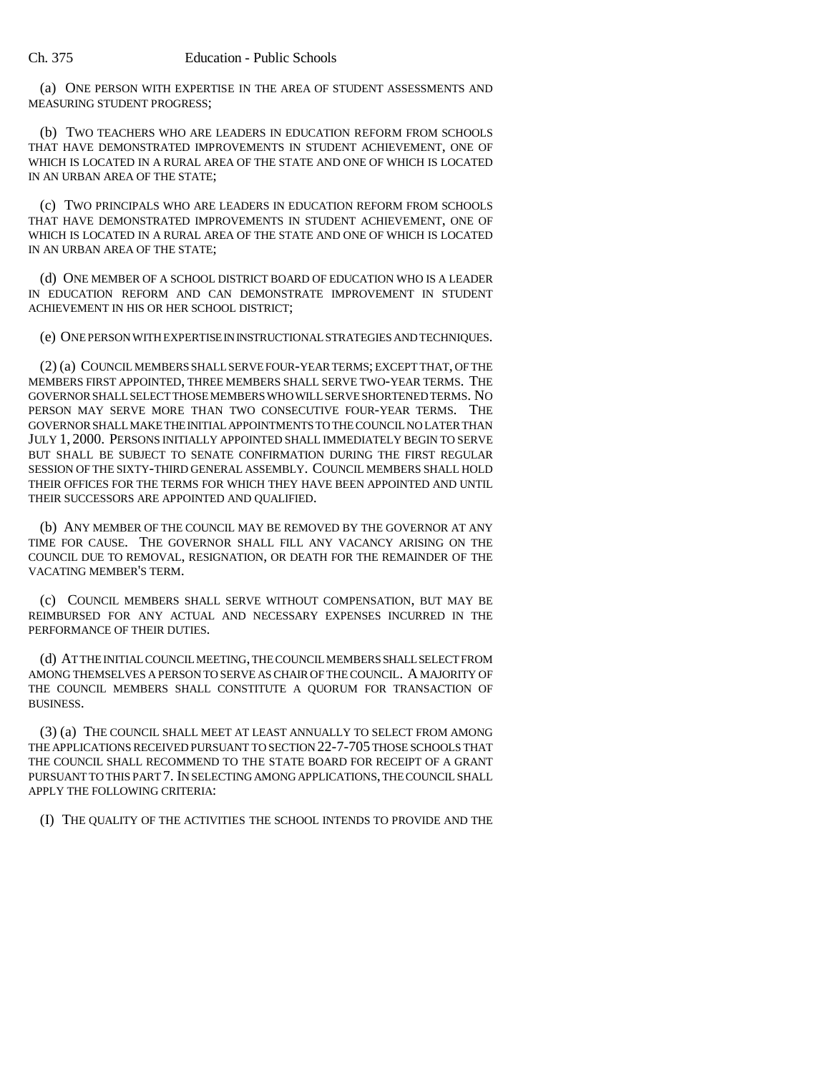(a) ONE PERSON WITH EXPERTISE IN THE AREA OF STUDENT ASSESSMENTS AND MEASURING STUDENT PROGRESS;

(b) TWO TEACHERS WHO ARE LEADERS IN EDUCATION REFORM FROM SCHOOLS THAT HAVE DEMONSTRATED IMPROVEMENTS IN STUDENT ACHIEVEMENT, ONE OF WHICH IS LOCATED IN A RURAL AREA OF THE STATE AND ONE OF WHICH IS LOCATED IN AN URBAN AREA OF THE STATE;

(c) TWO PRINCIPALS WHO ARE LEADERS IN EDUCATION REFORM FROM SCHOOLS THAT HAVE DEMONSTRATED IMPROVEMENTS IN STUDENT ACHIEVEMENT, ONE OF WHICH IS LOCATED IN A RURAL AREA OF THE STATE AND ONE OF WHICH IS LOCATED IN AN URBAN AREA OF THE STATE;

(d) ONE MEMBER OF A SCHOOL DISTRICT BOARD OF EDUCATION WHO IS A LEADER IN EDUCATION REFORM AND CAN DEMONSTRATE IMPROVEMENT IN STUDENT ACHIEVEMENT IN HIS OR HER SCHOOL DISTRICT;

(e) ONE PERSON WITH EXPERTISE IN INSTRUCTIONAL STRATEGIES AND TECHNIQUES.

(2) (a) COUNCIL MEMBERS SHALL SERVE FOUR-YEAR TERMS; EXCEPT THAT, OF THE MEMBERS FIRST APPOINTED, THREE MEMBERS SHALL SERVE TWO-YEAR TERMS. THE GOVERNOR SHALL SELECT THOSE MEMBERS WHO WILL SERVE SHORTENED TERMS. NO PERSON MAY SERVE MORE THAN TWO CONSECUTIVE FOUR-YEAR TERMS. THE GOVERNOR SHALL MAKE THE INITIAL APPOINTMENTS TO THE COUNCIL NO LATER THAN JULY 1, 2000. PERSONS INITIALLY APPOINTED SHALL IMMEDIATELY BEGIN TO SERVE BUT SHALL BE SUBJECT TO SENATE CONFIRMATION DURING THE FIRST REGULAR SESSION OF THE SIXTY-THIRD GENERAL ASSEMBLY. COUNCIL MEMBERS SHALL HOLD THEIR OFFICES FOR THE TERMS FOR WHICH THEY HAVE BEEN APPOINTED AND UNTIL THEIR SUCCESSORS ARE APPOINTED AND QUALIFIED.

(b) ANY MEMBER OF THE COUNCIL MAY BE REMOVED BY THE GOVERNOR AT ANY TIME FOR CAUSE. THE GOVERNOR SHALL FILL ANY VACANCY ARISING ON THE COUNCIL DUE TO REMOVAL, RESIGNATION, OR DEATH FOR THE REMAINDER OF THE VACATING MEMBER'S TERM.

(c) COUNCIL MEMBERS SHALL SERVE WITHOUT COMPENSATION, BUT MAY BE REIMBURSED FOR ANY ACTUAL AND NECESSARY EXPENSES INCURRED IN THE PERFORMANCE OF THEIR DUTIES.

(d) AT THE INITIAL COUNCIL MEETING, THE COUNCIL MEMBERS SHALL SELECT FROM AMONG THEMSELVES A PERSON TO SERVE AS CHAIR OF THE COUNCIL. A MAJORITY OF THE COUNCIL MEMBERS SHALL CONSTITUTE A QUORUM FOR TRANSACTION OF BUSINESS.

(3) (a) THE COUNCIL SHALL MEET AT LEAST ANNUALLY TO SELECT FROM AMONG THE APPLICATIONS RECEIVED PURSUANT TO SECTION 22-7-705 THOSE SCHOOLS THAT THE COUNCIL SHALL RECOMMEND TO THE STATE BOARD FOR RECEIPT OF A GRANT PURSUANT TO THIS PART 7. IN SELECTING AMONG APPLICATIONS, THE COUNCIL SHALL APPLY THE FOLLOWING CRITERIA:

(I) THE QUALITY OF THE ACTIVITIES THE SCHOOL INTENDS TO PROVIDE AND THE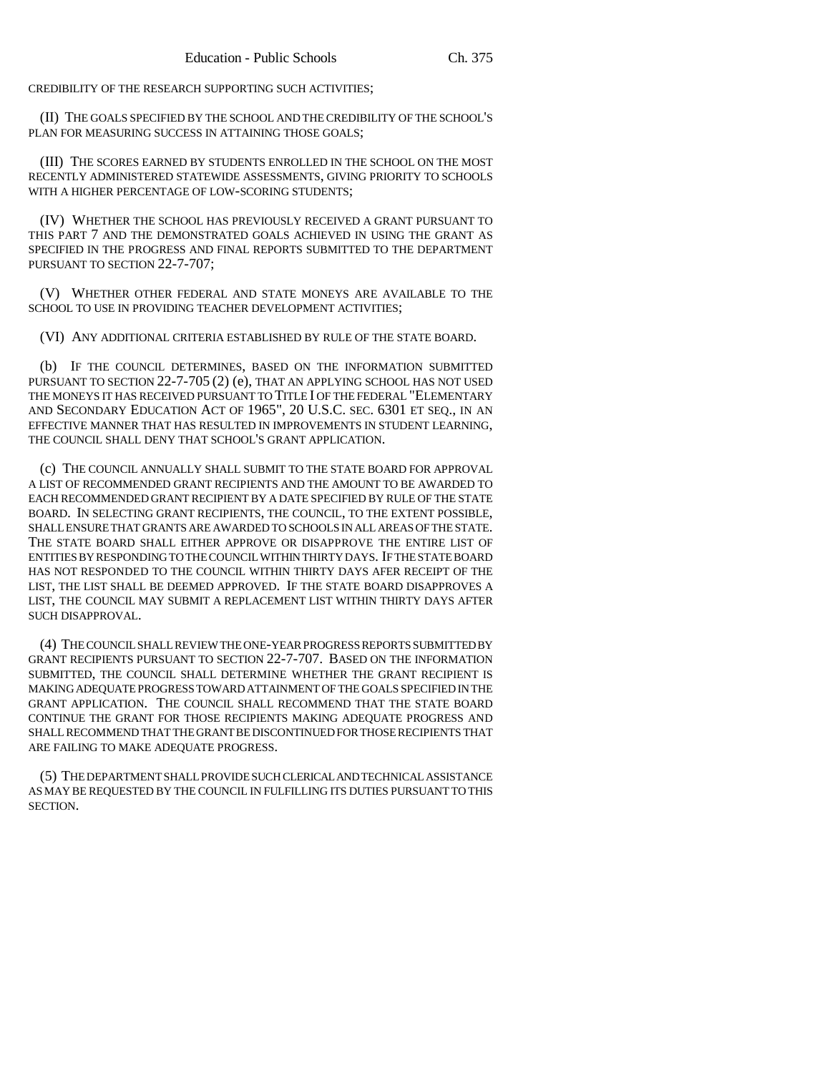CREDIBILITY OF THE RESEARCH SUPPORTING SUCH ACTIVITIES;

(II) THE GOALS SPECIFIED BY THE SCHOOL AND THE CREDIBILITY OF THE SCHOOL'S PLAN FOR MEASURING SUCCESS IN ATTAINING THOSE GOALS;

(III) THE SCORES EARNED BY STUDENTS ENROLLED IN THE SCHOOL ON THE MOST RECENTLY ADMINISTERED STATEWIDE ASSESSMENTS, GIVING PRIORITY TO SCHOOLS WITH A HIGHER PERCENTAGE OF LOW-SCORING STUDENTS;

(IV) WHETHER THE SCHOOL HAS PREVIOUSLY RECEIVED A GRANT PURSUANT TO THIS PART 7 AND THE DEMONSTRATED GOALS ACHIEVED IN USING THE GRANT AS SPECIFIED IN THE PROGRESS AND FINAL REPORTS SUBMITTED TO THE DEPARTMENT PURSUANT TO SECTION 22-7-707;

(V) WHETHER OTHER FEDERAL AND STATE MONEYS ARE AVAILABLE TO THE SCHOOL TO USE IN PROVIDING TEACHER DEVELOPMENT ACTIVITIES:

(VI) ANY ADDITIONAL CRITERIA ESTABLISHED BY RULE OF THE STATE BOARD.

(b) IF THE COUNCIL DETERMINES, BASED ON THE INFORMATION SUBMITTED PURSUANT TO SECTION 22-7-705 (2) (e), THAT AN APPLYING SCHOOL HAS NOT USED THE MONEYS IT HAS RECEIVED PURSUANT TO TITLE I OF THE FEDERAL "ELEMENTARY AND SECONDARY EDUCATION ACT OF 1965", 20 U.S.C. SEC. 6301 ET SEQ., IN AN EFFECTIVE MANNER THAT HAS RESULTED IN IMPROVEMENTS IN STUDENT LEARNING, THE COUNCIL SHALL DENY THAT SCHOOL'S GRANT APPLICATION.

(c) THE COUNCIL ANNUALLY SHALL SUBMIT TO THE STATE BOARD FOR APPROVAL A LIST OF RECOMMENDED GRANT RECIPIENTS AND THE AMOUNT TO BE AWARDED TO EACH RECOMMENDED GRANT RECIPIENT BY A DATE SPECIFIED BY RULE OF THE STATE BOARD. IN SELECTING GRANT RECIPIENTS, THE COUNCIL, TO THE EXTENT POSSIBLE, SHALL ENSURE THAT GRANTS ARE AWARDED TO SCHOOLS IN ALL AREAS OF THE STATE. THE STATE BOARD SHALL EITHER APPROVE OR DISAPPROVE THE ENTIRE LIST OF ENTITIES BY RESPONDING TO THE COUNCIL WITHIN THIRTY DAYS. IF THE STATE BOARD HAS NOT RESPONDED TO THE COUNCIL WITHIN THIRTY DAYS AFER RECEIPT OF THE LIST, THE LIST SHALL BE DEEMED APPROVED. IF THE STATE BOARD DISAPPROVES A LIST, THE COUNCIL MAY SUBMIT A REPLACEMENT LIST WITHIN THIRTY DAYS AFTER SUCH DISAPPROVAL.

(4) THE COUNCIL SHALL REVIEW THE ONE-YEAR PROGRESS REPORTS SUBMITTED BY GRANT RECIPIENTS PURSUANT TO SECTION 22-7-707. BASED ON THE INFORMATION SUBMITTED, THE COUNCIL SHALL DETERMINE WHETHER THE GRANT RECIPIENT IS MAKING ADEQUATE PROGRESS TOWARD ATTAINMENT OF THE GOALS SPECIFIED IN THE GRANT APPLICATION. THE COUNCIL SHALL RECOMMEND THAT THE STATE BOARD CONTINUE THE GRANT FOR THOSE RECIPIENTS MAKING ADEQUATE PROGRESS AND SHALL RECOMMEND THAT THE GRANT BE DISCONTINUED FOR THOSE RECIPIENTS THAT ARE FAILING TO MAKE ADEQUATE PROGRESS.

(5) THE DEPARTMENT SHALL PROVIDE SUCH CLERICAL AND TECHNICAL ASSISTANCE AS MAY BE REQUESTED BY THE COUNCIL IN FULFILLING ITS DUTIES PURSUANT TO THIS SECTION.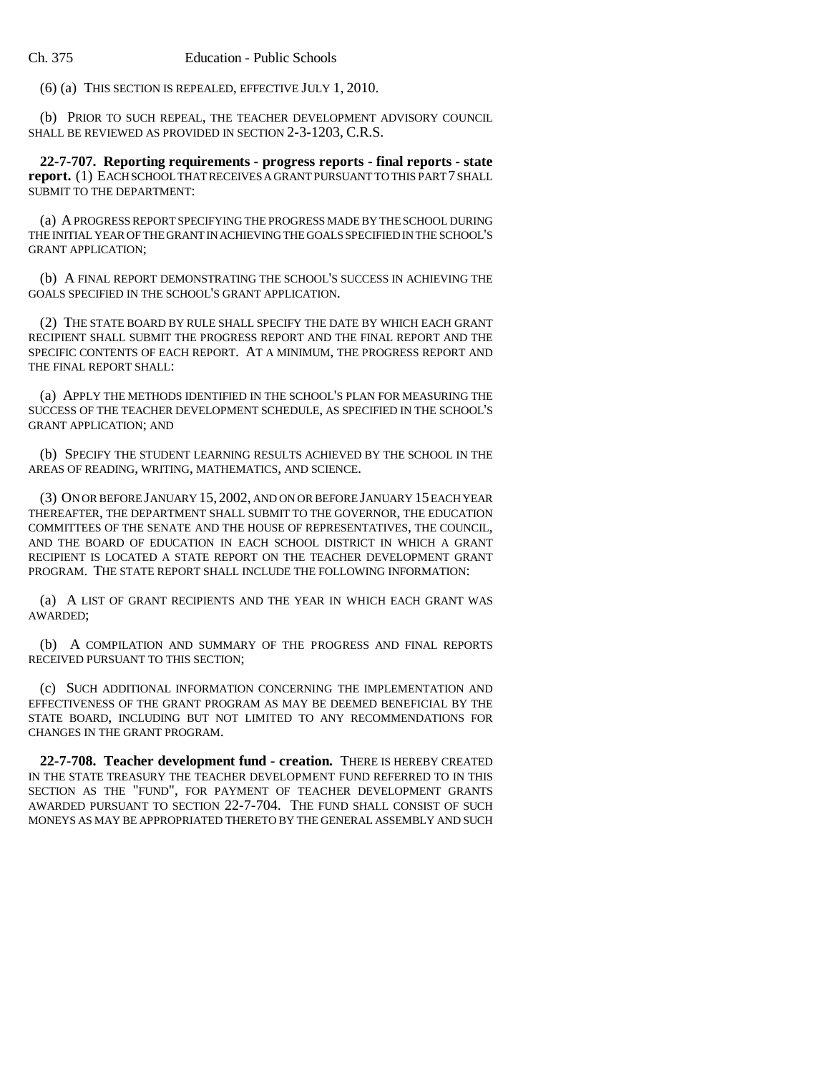(6) (a) THIS SECTION IS REPEALED, EFFECTIVE JULY 1, 2010.

(b) PRIOR TO SUCH REPEAL, THE TEACHER DEVELOPMENT ADVISORY COUNCIL SHALL BE REVIEWED AS PROVIDED IN SECTION 2-3-1203, C.R.S.

**22-7-707. Reporting requirements - progress reports - final reports - state report.** (1) EACH SCHOOL THAT RECEIVES A GRANT PURSUANT TO THIS PART 7 SHALL SUBMIT TO THE DEPARTMENT:

(a) A PROGRESS REPORT SPECIFYING THE PROGRESS MADE BY THE SCHOOL DURING THE INITIAL YEAR OF THE GRANT IN ACHIEVING THE GOALS SPECIFIED IN THE SCHOOL'S GRANT APPLICATION;

(b) A FINAL REPORT DEMONSTRATING THE SCHOOL'S SUCCESS IN ACHIEVING THE GOALS SPECIFIED IN THE SCHOOL'S GRANT APPLICATION.

(2) THE STATE BOARD BY RULE SHALL SPECIFY THE DATE BY WHICH EACH GRANT RECIPIENT SHALL SUBMIT THE PROGRESS REPORT AND THE FINAL REPORT AND THE SPECIFIC CONTENTS OF EACH REPORT. AT A MINIMUM, THE PROGRESS REPORT AND THE FINAL REPORT SHALL:

(a) APPLY THE METHODS IDENTIFIED IN THE SCHOOL'S PLAN FOR MEASURING THE SUCCESS OF THE TEACHER DEVELOPMENT SCHEDULE, AS SPECIFIED IN THE SCHOOL'S GRANT APPLICATION; AND

(b) SPECIFY THE STUDENT LEARNING RESULTS ACHIEVED BY THE SCHOOL IN THE AREAS OF READING, WRITING, MATHEMATICS, AND SCIENCE.

(3) ON OR BEFORE JANUARY 15, 2002, AND ON OR BEFORE JANUARY 15 EACH YEAR THEREAFTER, THE DEPARTMENT SHALL SUBMIT TO THE GOVERNOR, THE EDUCATION COMMITTEES OF THE SENATE AND THE HOUSE OF REPRESENTATIVES, THE COUNCIL, AND THE BOARD OF EDUCATION IN EACH SCHOOL DISTRICT IN WHICH A GRANT RECIPIENT IS LOCATED A STATE REPORT ON THE TEACHER DEVELOPMENT GRANT PROGRAM. THE STATE REPORT SHALL INCLUDE THE FOLLOWING INFORMATION:

(a) A LIST OF GRANT RECIPIENTS AND THE YEAR IN WHICH EACH GRANT WAS AWARDED;

(b) A COMPILATION AND SUMMARY OF THE PROGRESS AND FINAL REPORTS RECEIVED PURSUANT TO THIS SECTION;

(c) SUCH ADDITIONAL INFORMATION CONCERNING THE IMPLEMENTATION AND EFFECTIVENESS OF THE GRANT PROGRAM AS MAY BE DEEMED BENEFICIAL BY THE STATE BOARD, INCLUDING BUT NOT LIMITED TO ANY RECOMMENDATIONS FOR CHANGES IN THE GRANT PROGRAM.

**22-7-708. Teacher development fund - creation.** THERE IS HEREBY CREATED IN THE STATE TREASURY THE TEACHER DEVELOPMENT FUND REFERRED TO IN THIS SECTION AS THE "FUND", FOR PAYMENT OF TEACHER DEVELOPMENT GRANTS AWARDED PURSUANT TO SECTION 22-7-704. THE FUND SHALL CONSIST OF SUCH MONEYS AS MAY BE APPROPRIATED THERETO BY THE GENERAL ASSEMBLY AND SUCH